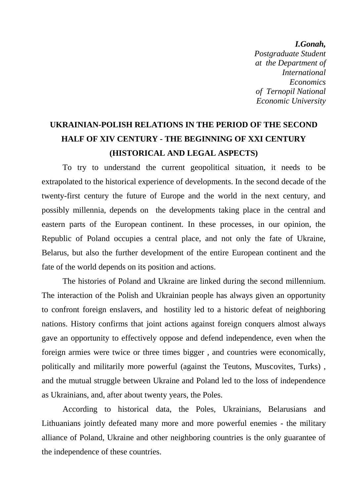*I.Gonah, Postgraduate Student at the Department of International Economics of Ternopil National Economic University*

## **UKRAINIAN-POLISH RELATIONS IN THE PERIOD OF THE SECOND HALF OF XIV CENTURY - THE BEGINNING OF XXI CENTURY (HISTORICAL AND LEGAL ASPECTS)**

To try to understand the current geopolitical situation, it needs to be extrapolated to the historical experience of developments. In the second decade of the twenty-first century the future of Europe and the world in the next century, and possibly millennia, depends on the developments taking place in the central and eastern parts of the European continent. In these processes, in our opinion, the Republic of Poland occupies a central place, and not only the fate of Ukraine, Belarus, but also the further development of the entire European continent and the fate of the world depends on its position and actions.

The histories of Poland and Ukraine are linked during the second millennium. The interaction of the Polish and Ukrainian people has always given an opportunity to confront foreign enslavers, and hostility led to a historic defeat of neighboring nations. History confirms that joint actions against foreign conquers almost always gave an opportunity to effectively oppose and defend independence, even when the foreign armies were twice or three times bigger , and countries were economically, politically and militarily more powerful (against the Teutons, Muscovites, Turks) , and the mutual struggle between Ukraine and Poland led to the loss of independence as Ukrainians, and, after about twenty years, the Poles.

According to historical data, the Poles, Ukrainians, Belarusians and Lithuanians jointly defeated many more and more powerful enemies - the military alliance of Poland, Ukraine and other neighboring countries is the only guarantee of the independence of these countries.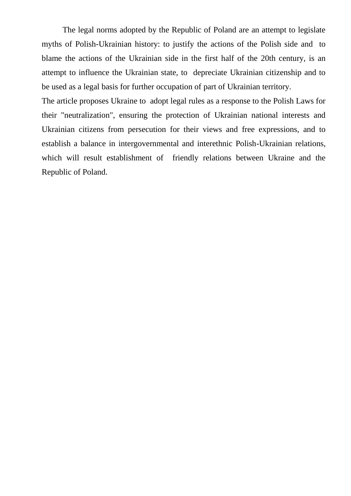The legal norms adopted by the Republic of Poland are an attempt to legislate myths of Polish-Ukrainian history: to justify the actions of the Polish side and to blame the actions of the Ukrainian side in the first half of the 20th century, is an attempt to influence the Ukrainian state, to depreciate Ukrainian citizenship and to be used as a legal basis for further occupation of part of Ukrainian territory.

The article proposes Ukraine to adopt legal rules as a response to the Polish Laws for their "neutralization", ensuring the protection of Ukrainian national interests and Ukrainian citizens from persecution for their views and free expressions, and to establish a balance in intergovernmental and interethnic Polish-Ukrainian relations, which will result establishment of friendly relations between Ukraine and the Republic of Poland.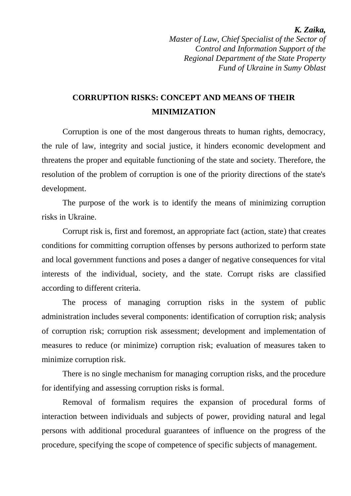*Master of Law, Chief Specialist of the Sector of Control and Information Support of the Regional Department of the State Property Fund of Ukraine in Sumy Oblast*

### **CORRUPTION RISKS: CONCEPT AND MEANS OF THEIR MINIMIZATION**

Corruption is one of the most dangerous threats to human rights, democracy, the rule of law, integrity and social justice, it hinders economic development and threatens the proper and equitable functioning of the state and society. Therefore, the resolution of the problem of corruption is one of the priority directions of the state's development.

The purpose of the work is to identify the means of minimizing corruption risks in Ukraine.

Corrupt risk is, first and foremost, an appropriate fact (action, state) that creates conditions for committing corruption offenses by persons authorized to perform state and local government functions and poses a danger of negative consequences for vital interests of the individual, society, and the state. Corrupt risks are classified according to different criteria.

The process of managing corruption risks in the system of public administration includes several components: identification of corruption risk; analysis of corruption risk; corruption risk assessment; development and implementation of measures to reduce (or minimize) corruption risk; evaluation of measures taken to minimize corruption risk.

There is no single mechanism for managing corruption risks, and the procedure for identifying and assessing corruption risks is formal.

Removal of formalism requires the expansion of procedural forms of interaction between individuals and subjects of power, providing natural and legal persons with additional procedural guarantees of influence on the progress of the procedure, specifying the scope of competence of specific subjects of management.

#### *K. Zaika,*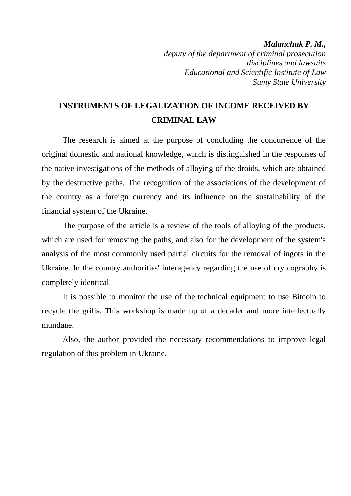*Malanchuk P. M., deputy of the department of criminal prosecution disciplines and lawsuits Educational and Scientific Institute of Law Sumy State University*

### **INSTRUMENTS OF LEGALIZATION OF INCOME RECEIVED BY CRIMINAL LAW**

The research is aimed at the purpose of concluding the concurrence of the original domestic and national knowledge, which is distinguished in the responses of the native investigations of the methods of alloying of the droids, which are obtained by the destructive paths. The recognition of the associations of the development of the country as a foreign currency and its influence on the sustainability of the financial system of the Ukraine.

The purpose of the article is a review of the tools of alloying of the products, which are used for removing the paths, and also for the development of the system's analysis of the most commonly used partial circuits for the removal of ingots in the Ukraine. In the country authorities' interagency regarding the use of cryptography is completely identical.

It is possible to monitor the use of the technical equipment to use Bitcoin to recycle the grills. This workshop is made up of a decader and more intellectually mundane.

Also, the author provided the necessary recommendations to improve legal regulation of this problem in Ukraine.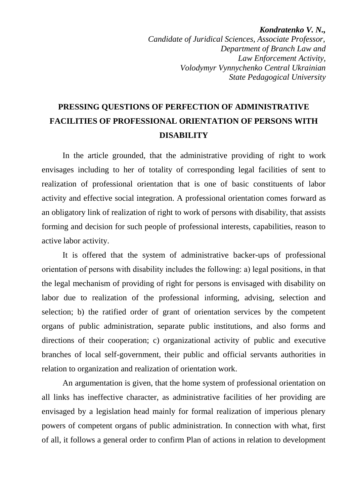*Kondratenko V. N., Candidate of Juridical Sciences, Associate Professor, Department of Branch Law and Law Enforcement Activity, Volodymyr Vynnychenko Central Ukrainian State Pedagogical University*

# **PRESSING QUESTIONS OF PERFECTION OF ADMINISTRATIVE FACILITIES OF PROFESSIONAL ORIENTATION OF PERSONS WITH DISABILITY**

In the article grounded, that the administrative providing of right to work envisages including to her of totality of corresponding legal facilities of sent to realization of professional orientation that is one of basic constituents of labor activity and effective social integration. A professional orientation comes forward as an obligatory link of realization of right to work of persons with disability, that assists forming and decision for such people of professional interests, capabilities, reason to active labor activity.

It is offered that the system of administrative backer-ups of professional orientation of persons with disability includes the following: а) legal positions, in that the legal mechanism of providing of right for persons is envisaged with disability on labor due to realization of the professional informing, advising, selection and selection; b) the ratified order of grant of orientation services by the competent organs of public administration, separate public institutions, and also forms and directions of their cooperation; c) organizational activity of public and executive branches of local self-government, their public and official servants authorities in relation to organization and realization of orientation work.

An argumentation is given, that the home system of professional orientation on all links has ineffective character, as administrative facilities of her providing are envisaged by a legislation head mainly for formal realization of imperious plenary powers of competent organs of public administration. In connection with what, first of all, it follows a general order to confirm Plan of actions in relation to development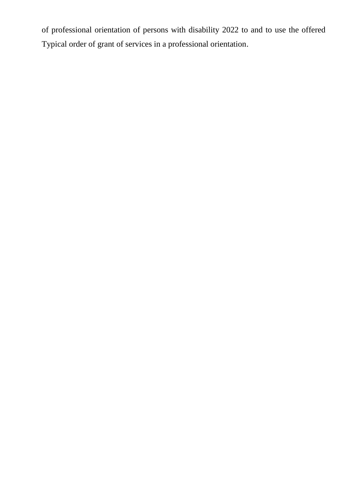of professional orientation of persons with disability 2022 to and to use the offered Typical order of grant of services in a professional orientation.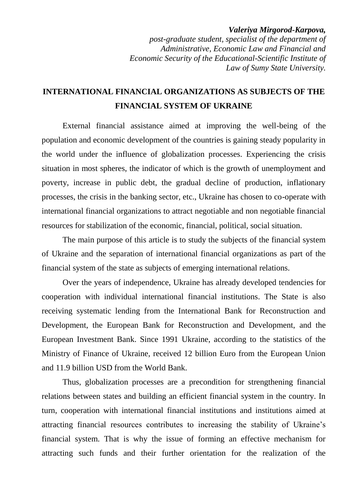#### *Valeriya Mirgorod-Karpova,*

*post-graduate student, specialist of the department of Administrative, Economic Law and Financial and Economic Security of the Educational-Scientific Institute of Law of Sumy State University.*

### **INTERNATIONAL FINANCIAL ORGANIZATIONS AS SUBJECTS OF THE FINANCIAL SYSTEM OF UKRAINE**

External financial assistance aimed at improving the well-being of the population and economic development of the countries is gaining steady popularity in the world under the influence of globalization processes. Experiencing the crisis situation in most spheres, the indicator of which is the growth of unemployment and poverty, increase in public debt, the gradual decline of production, inflationary processes, the crisis in the banking sector, etc., Ukraine has chosen to co-operate with international financial organizations to attract negotiable and non negotiable financial resources for stabilization of the economic, financial, political, social situation.

The main purpose of this article is to study the subjects of the financial system of Ukraine and the separation of international financial organizations as part of the financial system of the state as subjects of emerging international relations.

Over the years of independence, Ukraine has already developed tendencies for cooperation with individual international financial institutions. The State is also receiving systematic lending from the International Bank for Reconstruction and Development, the European Bank for Reconstruction and Development, and the European Investment Bank. Since 1991 Ukraine, according to the statistics of the Ministry of Finance of Ukraine, received 12 billion Euro from the European Union and 11.9 billion USD from the World Bank.

Thus, globalization processes are a precondition for strengthening financial relations between states and building an efficient financial system in the country. In turn, cooperation with international financial institutions and institutions aimed at attracting financial resources contributes to increasing the stability of Ukraine's financial system. That is why the issue of forming an effective mechanism for attracting such funds and their further orientation for the realization of the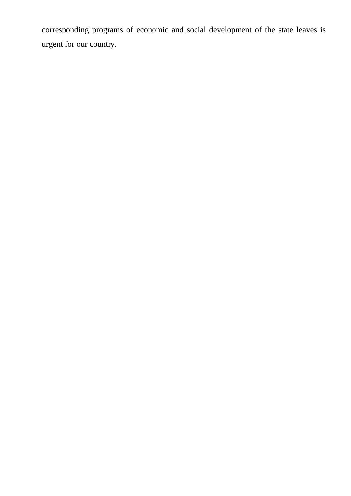corresponding programs of economic and social development of the state leaves is urgent for our country.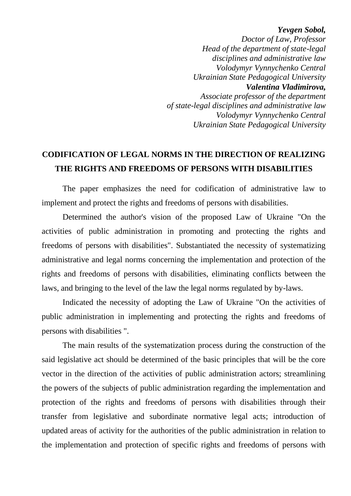*Yevgen Sobol,*

 *Doctor of Law, Professor Head of the department of state-legal disciplines and administrative law Volodymyr Vynnychenko Central Ukrainian State Pedagogical University Valentina Vladimirova, Associate professor of the department of state-legal disciplines and administrative law Volodymyr Vynnychenko Central Ukrainian State Pedagogical University*

### **CODIFICATION OF LEGAL NORMS IN THE DIRECTION OF REALIZING THE RIGHTS AND FREEDOMS OF PERSONS WITH DISABILITIES**

The paper emphasizes the need for codification of administrative law to implement and protect the rights and freedoms of persons with disabilities.

Determined the author's vision of the proposed Law of Ukraine "On the activities of public administration in promoting and protecting the rights and freedoms of persons with disabilities". Substantiated the necessity of systematizing administrative and legal norms concerning the implementation and protection of the rights and freedoms of persons with disabilities, eliminating conflicts between the laws, and bringing to the level of the law the legal norms regulated by by-laws.

Indicated the necessity of adopting the Law of Ukraine "On the activities of public administration in implementing and protecting the rights and freedoms of persons with disabilities ".

The main results of the systematization process during the construction of the said legislative act should be determined of the basic principles that will be the core vector in the direction of the activities of public administration actors; streamlining the powers of the subjects of public administration regarding the implementation and protection of the rights and freedoms of persons with disabilities through their transfer from legislative and subordinate normative legal acts; introduction of updated areas of activity for the authorities of the public administration in relation to the implementation and protection of specific rights and freedoms of persons with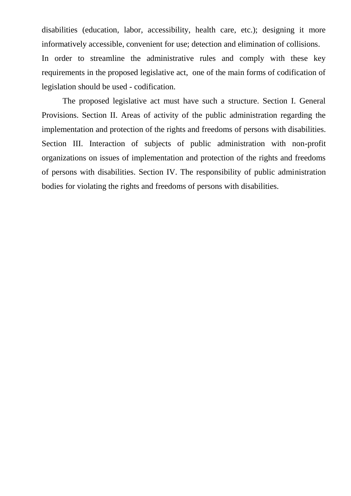disabilities (education, labor, accessibility, health care, etc.); designing it more informatively accessible, convenient for use; detection and elimination of collisions. In order to streamline the administrative rules and comply with these key requirements in the proposed legislative act, one of the main forms of codification of legislation should be used - codification.

The proposed legislative act must have such a structure. Section I. General Provisions. Section II. Areas of activity of the public administration regarding the implementation and protection of the rights and freedoms of persons with disabilities. Section III. Interaction of subjects of public administration with non-profit organizations on issues of implementation and protection of the rights and freedoms of persons with disabilities. Section IV. The responsibility of public administration bodies for violating the rights and freedoms of persons with disabilities.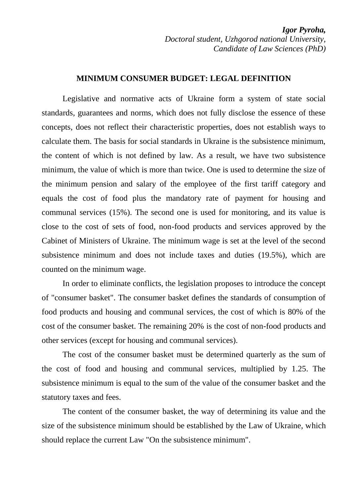*Igor Pyroha, Doctoral student, Uzhgorod national University, Candidate of Law Sciences (PhD)*

#### **MINIMUM CONSUMER BUDGET: LEGAL DEFINITION**

Legislative and normative acts of Ukraine form a system of state social standards, guarantees and norms, which does not fully disclose the essence of these concepts, does not reflect their characteristic properties, does not establish ways to calculate them. The basis for social standards in Ukraine is the subsistence minimum, the content of which is not defined by law. As a result, we have two subsistence minimum, the value of which is more than twice. One is used to determine the size of the minimum pension and salary of the employee of the first tariff category and equals the cost of food plus the mandatory rate of payment for housing and communal services (15%). The second one is used for monitoring, and its value is close to the cost of sets of food, non-food products and services approved by the Cabinet of Ministers of Ukraine. The minimum wage is set at the level of the second subsistence minimum and does not include taxes and duties (19.5%), which are counted on the minimum wage.

In order to eliminate conflicts, the legislation proposes to introduce the concept of "consumer basket". The consumer basket defines the standards of consumption of food products and housing and communal services, the cost of which is 80% of the cost of the consumer basket. The remaining 20% is the cost of non-food products and other services (except for housing and communal services).

The cost of the consumer basket must be determined quarterly as the sum of the cost of food and housing and communal services, multiplied by 1.25. The subsistence minimum is equal to the sum of the value of the consumer basket and the statutory taxes and fees.

The content of the consumer basket, the way of determining its value and the size of the subsistence minimum should be established by the Law of Ukraine, which should replace the current Law "On the subsistence minimum".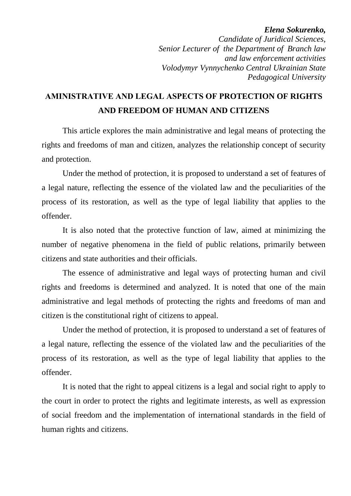#### *Elena Sokurenko, Candidate of Juridical Sciences, Senior Lecturer of the Department of Branch law and law enforcement activities Volodymyr Vynnychenko Central Ukrainian State Pedagogical University*

## **АMINISTRATIVE AND LEGAL ASPECTS OF PROTECTION OF RIGHTS AND FREEDOM OF HUMAN AND CITIZENS**

This article explores the main administrative and legal means of protecting the rights and freedoms of man and citizen, analyzes the relationship concept of security and protection.

Under the method of protection, it is proposed to understand a set of features of a legal nature, reflecting the essence of the violated law and the peculiarities of the process of its restoration, as well as the type of legal liability that applies to the offender.

It is also noted that the protective function of law, aimed at minimizing the number of negative phenomena in the field of public relations, primarily between citizens and state authorities and their officials.

The essence of administrative and legal ways of protecting human and civil rights and freedoms is determined and analyzed. It is noted that one of the main administrative and legal methods of protecting the rights and freedoms of man and citizen is the constitutional right of citizens to appeal.

Under the method of protection, it is proposed to understand a set of features of a legal nature, reflecting the essence of the violated law and the peculiarities of the process of its restoration, as well as the type of legal liability that applies to the offender.

It is noted that the right to appeal citizens is a legal and social right to apply to the court in order to protect the rights and legitimate interests, as well as expression of social freedom and the implementation of international standards in the field of human rights and citizens.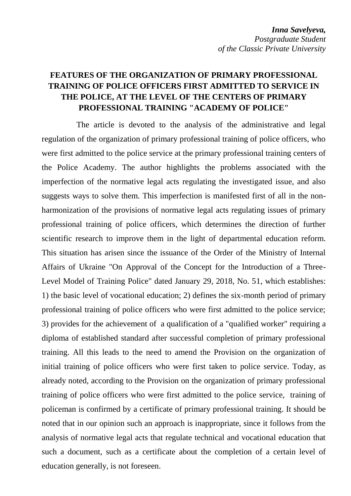#### **FEATURES OF THE ORGANIZATION OF PRIMARY PROFESSIONAL TRAINING OF POLICE OFFICERS FIRST ADMITTED TO SERVICE IN THE POLICE, AT THE LEVEL OF THE CENTERS OF PRIMARY PROFESSIONAL TRAINING "ACADEMY OF POLICE"**

The article is devoted to the analysis of the administrative and legal regulation of the organization of primary professional training of police officers, who were first admitted to the police service at the primary professional training centers of the Police Academy. The author highlights the problems associated with the imperfection of the normative legal acts regulating the investigated issue, and also suggests ways to solve them. This imperfection is manifested first of all in the nonharmonization of the provisions of normative legal acts regulating issues of primary professional training of police officers, which determines the direction of further scientific research to improve them in the light of departmental education reform. This situation has arisen since the issuance of the Order of the Ministry of Internal Affairs of Ukraine "On Approval of the Concept for the Introduction of a Three-Level Model of Training Police" dated January 29, 2018, No. 51, which establishes: 1) the basic level of vocational education; 2) defines the six-month period of primary professional training of police officers who were first admitted to the police service; 3) provides for the achievement of a qualification of a "qualified worker" requiring a diploma of established standard after successful completion of primary professional training. All this leads to the need to amend the Provision on the organization of initial training of police officers who were first taken to police service. Today, as already noted, according to the Provision on the organization of primary professional training of police officers who were first admitted to the police service, training of policeman is confirmed by a certificate of primary professional training. It should be noted that in our opinion such an approach is inappropriate, since it follows from the analysis of normative legal acts that regulate technical and vocational education that such a document, such as a certificate about the completion of a certain level of education generally, is not foreseen.